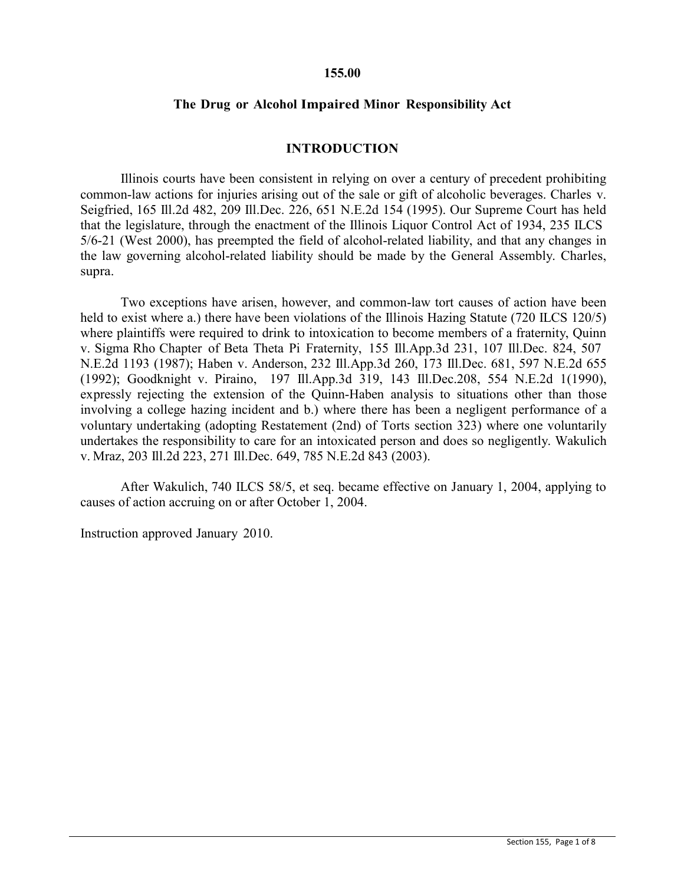#### **155.00**

### **The Drug or Alcohol Impaired Minor Responsibility Act**

#### **INTRODUCTION**

Illinois courts have been consistent in relying on over a century of precedent prohibiting common-law actions for injuries arising out of the sale or gift of alcoholic beverages. Charles v. Seigfried, 165 Ill.2d 482, 209 Ill.Dec. 226, 651 N.E.2d 154 (1995). Our Supreme Court has held that the legislature, through the enactment of the Illinois Liquor Control Act of 1934, 235 ILCS 5/6-21 (West 2000), has preempted the field of alcohol-related liability, and that any changes in the law governing alcohol-related liability should be made by the General Assembly. Charles, supra.

Two exceptions have arisen, however, and common-law tort causes of action have been held to exist where a.) there have been violations of the Illinois Hazing Statute (720 ILCS 120/5) where plaintiffs were required to drink to intoxication to become members of a fraternity, Quinn v. Sigma Rho Chapter of Beta Theta Pi Fraternity, 155 Ill.App.3d 231, 107 Ill.Dec. 824, 507 N.E.2d 1193 (1987); Haben v. Anderson, 232 Ill.App.3d 260, 173 Ill.Dec. 681, 597 N.E.2d 655 (1992); Goodknight v. Piraino, 197 Ill.App.3d 319, 143 Ill.Dec.208, 554 N.E.2d 1(1990), expressly rejecting the extension of the Quinn-Haben analysis to situations other than those involving a college hazing incident and b.) where there has been a negligent performance of a voluntary undertaking (adopting Restatement (2nd) of Torts section 323) where one voluntarily undertakes the responsibility to care for an intoxicated person and does so negligently. Wakulich v. Mraz, 203 Ill.2d 223, 271 Ill.Dec. 649, 785 N.E.2d 843 (2003).

After Wakulich, 740 ILCS 58/5, et seq. became effective on January 1, 2004, applying to causes of action accruing on or after October 1, 2004.

Instruction approved January 2010.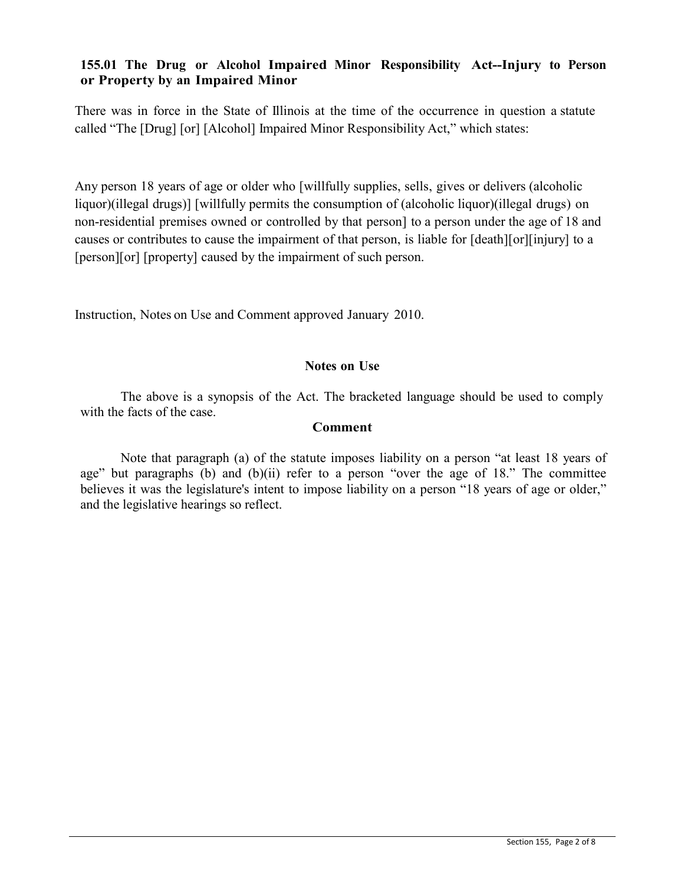# **155.01 The Drug or Alcohol Impaired Minor Responsibility Act--Injury to Person or Property by an Impaired Minor**

There was in force in the State of Illinois at the time of the occurrence in question a statute called "The [Drug] [or] [Alcohol] Impaired Minor Responsibility Act," which states:

Any person 18 years of age or older who [willfully supplies, sells, gives or delivers (alcoholic liquor)(illegal drugs)] [willfully permits the consumption of (alcoholic liquor)(illegal drugs) on non-residential premises owned or controlled by that person] to a person under the age of 18 and causes or contributes to cause the impairment of that person, is liable for [death][or][injury] to a [person][or] [property] caused by the impairment of such person.

Instruction, Notes on Use and Comment approved January 2010.

### **Notes on Use**

The above is a synopsis of the Act. The bracketed language should be used to comply with the facts of the case.

### **Comment**

Note that paragraph (a) of the statute imposes liability on a person "at least 18 years of age" but paragraphs (b) and (b)(ii) refer to a person "over the age of 18." The committee believes it was the legislature's intent to impose liability on a person "18 years of age or older," and the legislative hearings so reflect.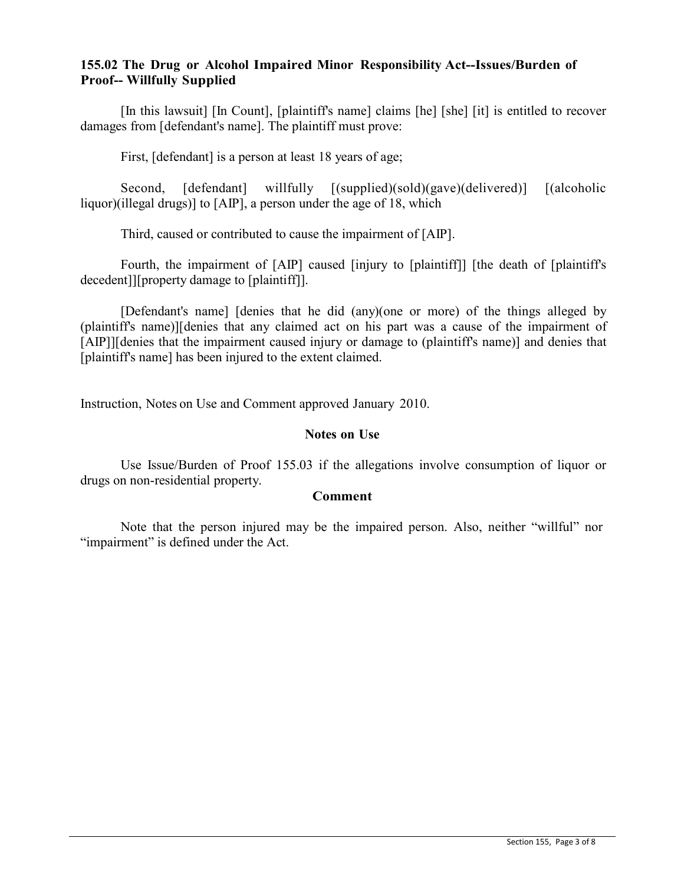## **155.02 The Drug or Alcohol Impaired Minor Responsibility Act--Issues/Burden of Proof-- Willfully Supplied**

[In this lawsuit] [In Count], [plaintiff's name] claims [he] [she] [it] is entitled to recover damages from [defendant's name]. The plaintiff must prove:

First, [defendant] is a person at least 18 years of age;

Second, [defendant] willfully [(supplied)(sold)(gave)(delivered)] [(alcoholic liquor)(illegal drugs)] to [AIP], a person under the age of 18, which

Third, caused or contributed to cause the impairment of [AIP].

Fourth, the impairment of [AIP] caused [injury to [plaintiff]] [the death of [plaintiff's decedent]][property damage to [plaintiff]].

[Defendant's name] [denies that he did (any)(one or more) of the things alleged by (plaintiff's name)][denies that any claimed act on his part was a cause of the impairment of [AIP]][denies that the impairment caused injury or damage to (plaintiff's name)] and denies that [plaintiff's name] has been injured to the extent claimed.

Instruction, Notes on Use and Comment approved January 2010.

## **Notes on Use**

Use Issue/Burden of Proof 155.03 if the allegations involve consumption of liquor or drugs on non-residential property.

### **Comment**

Note that the person injured may be the impaired person. Also, neither "willful" nor "impairment" is defined under the Act.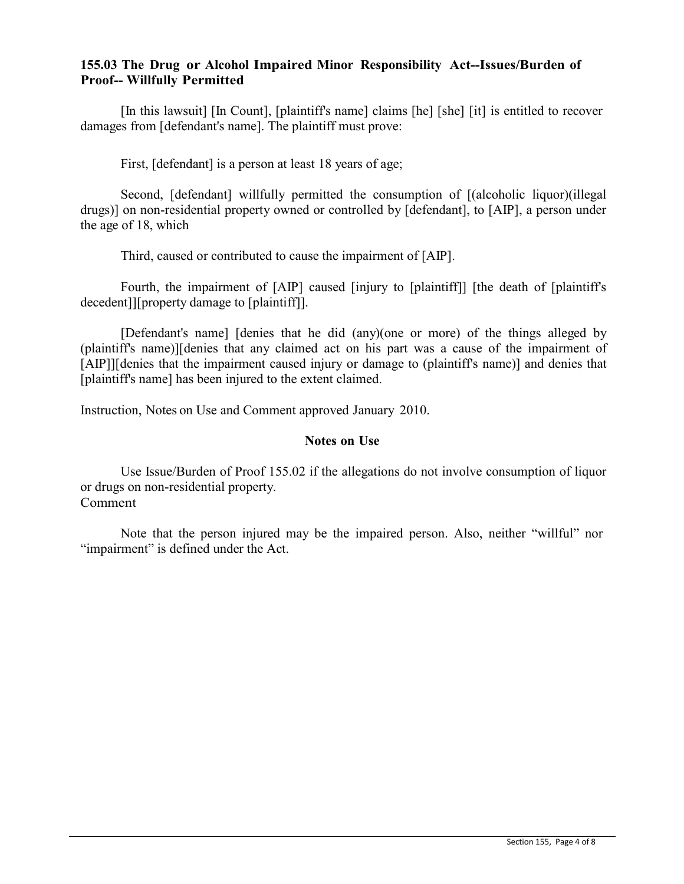### **155.03 The Drug or Alcohol Impaired Minor Responsibility Act--Issues/Burden of Proof-- Willfully Permitted**

[In this lawsuit] [In Count], [plaintiff's name] claims [he] [she] [it] is entitled to recover damages from [defendant's name]. The plaintiff must prove:

First, [defendant] is a person at least 18 years of age;

Second, [defendant] willfully permitted the consumption of [(alcoholic liquor)(illegal drugs)] on non-residential property owned or controlled by [defendant], to [AIP], a person under the age of 18, which

Third, caused or contributed to cause the impairment of [AIP].

Fourth, the impairment of [AIP] caused [injury to [plaintiff]] [the death of [plaintiff's decedent]][property damage to [plaintiff]].

[Defendant's name] [denies that he did (any)(one or more) of the things alleged by (plaintiff's name)][denies that any claimed act on his part was a cause of the impairment of [AIP]][denies that the impairment caused injury or damage to (plaintiff's name)] and denies that [plaintiff's name] has been injured to the extent claimed.

Instruction, Notes on Use and Comment approved January 2010.

### **Notes on Use**

Use Issue/Burden of Proof 155.02 if the allegations do not involve consumption of liquor or drugs on non-residential property. Comment

Note that the person injured may be the impaired person. Also, neither "willful" nor "impairment" is defined under the Act.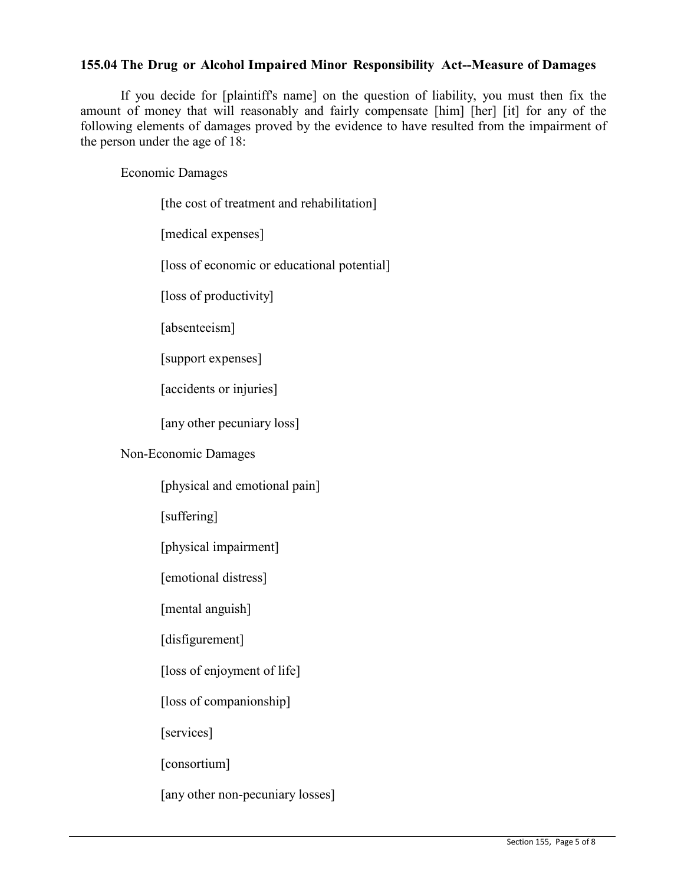# **155.04 The Drug or Alcohol Impaired Minor Responsibility Act--Measure of Damages**

If you decide for [plaintiff's name] on the question of liability, you must then fix the amount of money that will reasonably and fairly compensate [him] [her] [it] for any of the following elements of damages proved by the evidence to have resulted from the impairment of the person under the age of 18:

Economic Damages

| [the cost of treatment and rehabilitation]  |
|---------------------------------------------|
| [medical expenses]                          |
| [loss of economic or educational potential] |
| [loss of productivity]                      |
| [absenteeism]                               |
| [support expenses]                          |
| [accidents or injuries]                     |
| [any other pecuniary loss]                  |
| Non-Economic Damages                        |
| [physical and emotional pain]               |
| [suffering]                                 |
| [physical impairment]                       |
| [emotional distress]                        |
| [mental anguish]                            |
| [disfigurement]                             |
|                                             |

[loss of enjoyment of life]

[loss of companionship]

[services]

[consortium]

[any other non-pecuniary losses]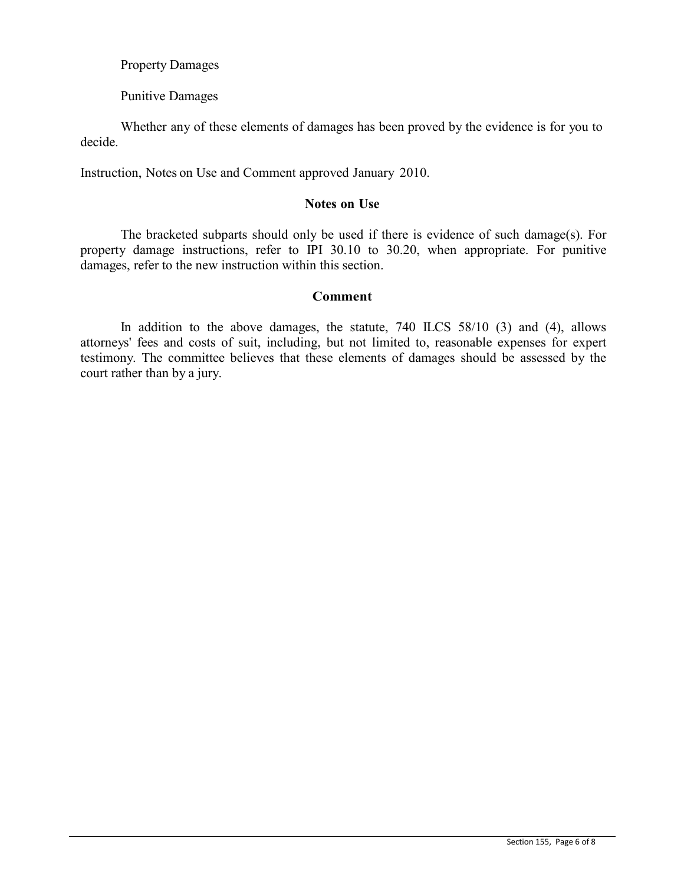Property Damages

Punitive Damages

decide. Whether any of these elements of damages has been proved by the evidence is for you to

Instruction, Notes on Use and Comment approved January 2010.

#### **Notes on Use**

The bracketed subparts should only be used if there is evidence of such damage(s). For property damage instructions, refer to IPI 30.10 to 30.20, when appropriate. For punitive damages, refer to the new instruction within this section.

#### **Comment**

In addition to the above damages, the statute, 740 ILCS 58/10 (3) and (4), allows attorneys' fees and costs of suit, including, but not limited to, reasonable expenses for expert testimony. The committee believes that these elements of damages should be assessed by the court rather than by a jury.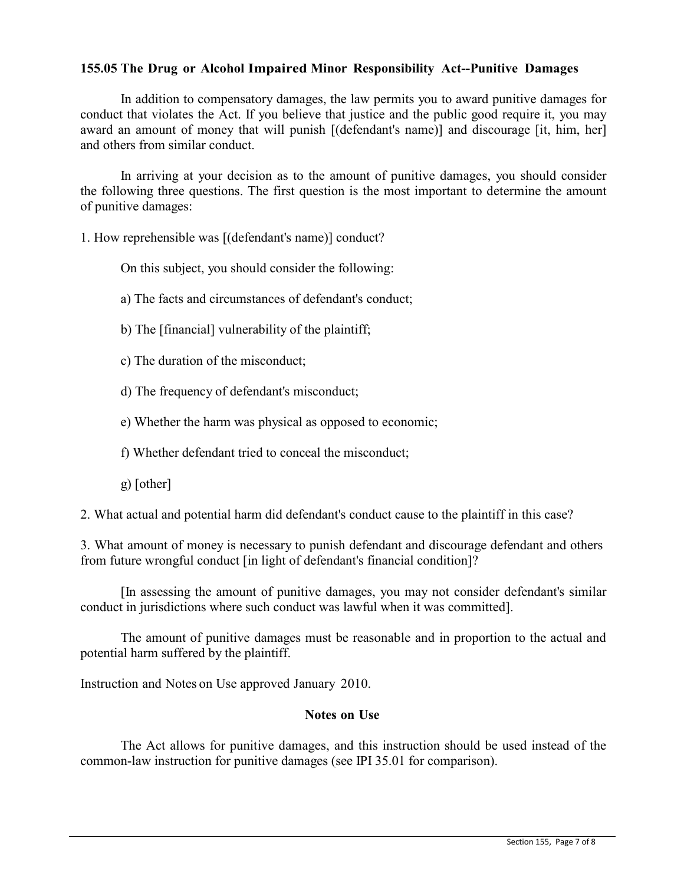## **155.05 The Drug or Alcohol Impaired Minor Responsibility Act--Punitive Damages**

In addition to compensatory damages, the law permits you to award punitive damages for conduct that violates the Act. If you believe that justice and the public good require it, you may award an amount of money that will punish [(defendant's name)] and discourage [it, him, her] and others from similar conduct.

In arriving at your decision as to the amount of punitive damages, you should consider the following three questions. The first question is the most important to determine the amount of punitive damages:

1. How reprehensible was [(defendant's name)] conduct?

On this subject, you should consider the following:

a) The facts and circumstances of defendant's conduct;

- b) The [financial] vulnerability of the plaintiff;
- c) The duration of the misconduct;
- d) The frequency of defendant's misconduct;
- e) Whether the harm was physical as opposed to economic;
- f) Whether defendant tried to conceal the misconduct;
- g) [other]

2. What actual and potential harm did defendant's conduct cause to the plaintiff in this case?

3. What amount of money is necessary to punish defendant and discourage defendant and others from future wrongful conduct [in light of defendant's financial condition]?

[In assessing the amount of punitive damages, you may not consider defendant's similar conduct in jurisdictions where such conduct was lawful when it was committed].

The amount of punitive damages must be reasonable and in proportion to the actual and potential harm suffered by the plaintiff.

Instruction and Notes on Use approved January 2010.

### **Notes on Use**

The Act allows for punitive damages, and this instruction should be used instead of the common-law instruction for punitive damages (see IPI 35.01 for comparison).